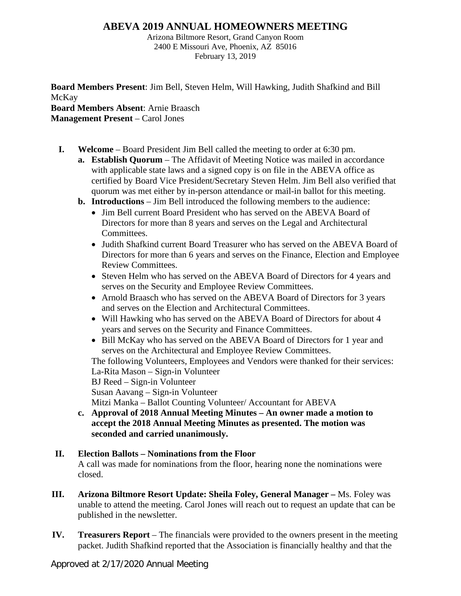## **ABEVA 2019 ANNUAL HOMEOWNERS MEETING**

Arizona Biltmore Resort, Grand Canyon Room 2400 E Missouri Ave, Phoenix, AZ 85016 February 13, 2019

**Board Members Present**: Jim Bell, Steven Helm, Will Hawking, Judith Shafkind and Bill McKay **Board Members Absent**: Arnie Braasch **Management Present** – Carol Jones

- **I. Welcome** Board President Jim Bell called the meeting to order at 6:30 pm.
	- **a. Establish Quorum** The Affidavit of Meeting Notice was mailed in accordance with applicable state laws and a signed copy is on file in the ABEVA office as certified by Board Vice President/Secretary Steven Helm. Jim Bell also verified that quorum was met either by in-person attendance or mail-in ballot for this meeting.
	- **b. Introductions**  Jim Bell introduced the following members to the audience:
		- Jim Bell current Board President who has served on the ABEVA Board of Directors for more than 8 years and serves on the Legal and Architectural **Committees**
		- Judith Shafkind current Board Treasurer who has served on the ABEVA Board of Directors for more than 6 years and serves on the Finance, Election and Employee Review Committees.
		- Steven Helm who has served on the ABEVA Board of Directors for 4 years and serves on the Security and Employee Review Committees.
		- Arnold Braasch who has served on the ABEVA Board of Directors for 3 years and serves on the Election and Architectural Committees.
		- Will Hawking who has served on the ABEVA Board of Directors for about 4 years and serves on the Security and Finance Committees.
		- Bill McKay who has served on the ABEVA Board of Directors for 1 year and serves on the Architectural and Employee Review Committees.

The following Volunteers, Employees and Vendors were thanked for their services: La-Rita Mason – Sign-in Volunteer

BJ Reed – Sign-in Volunteer

Susan Aavang – Sign-in Volunteer

Mitzi Manka – Ballot Counting Volunteer/ Accountant for ABEVA

**c. Approval of 2018 Annual Meeting Minutes – An owner made a motion to accept the 2018 Annual Meeting Minutes as presented. The motion was seconded and carried unanimously.**

## **II. Election Ballots – Nominations from the Floor**

A call was made for nominations from the floor, hearing none the nominations were closed.

- **III. Arizona Biltmore Resort Update: Sheila Foley, General Manager –** Ms. Foley was unable to attend the meeting. Carol Jones will reach out to request an update that can be published in the newsletter.
- **IV. Treasurers Report** The financials were provided to the owners present in the meeting packet. Judith Shafkind reported that the Association is financially healthy and that the